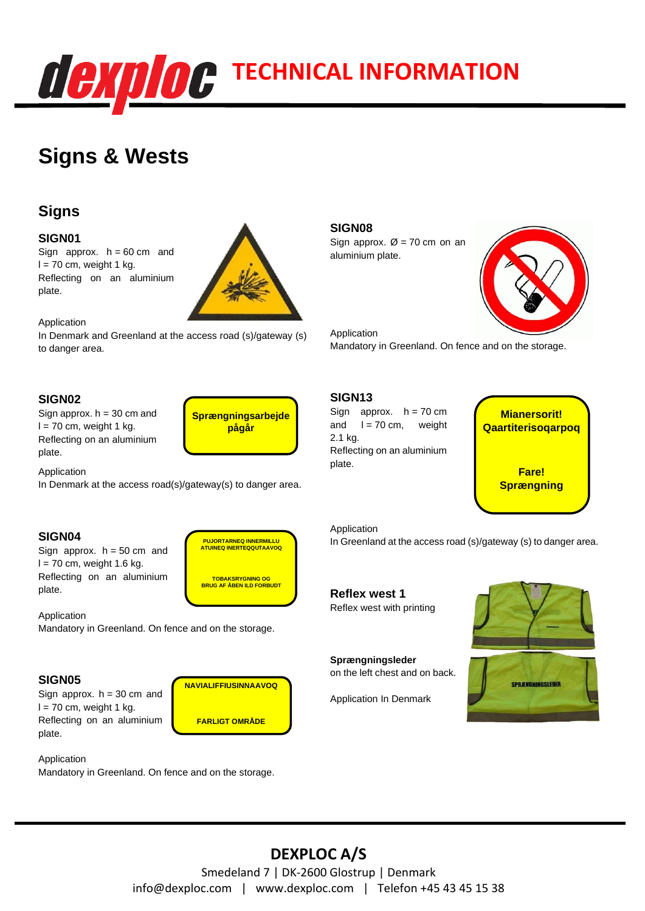

# **Signs & Wests**

# **Signs**

#### **SIGN01**

Sign approx.  $h = 60$  cm and  $l = 70$  cm, weight 1 kg. Reflecting on an aluminium plate.



Application

In Denmark and Greenland at the access road (s)/gateway (s) to danger area.

### **SIGN02**

Sign approx.  $h = 30$  cm and  $l = 70$  cm, weight 1 kg. Reflecting on an aluminium plate.

**Sprængningsarbejde pågår**

> **PUJORTARNEQ INNERMILLU ATUINEQ INERTEQQUTAAVOQ**

> **TOBAKSRYGNING OG BRUG AF ÅBEN ILD FORBUDT**

**NAVIALIFFIUSINNAAVOQ**

**FARLIGT OMRÅDE**

Application

In Denmark at the access road(s)/gateway(s) to danger area.

#### **SIGN04**

Sign approx.  $h = 50$  cm and  $l = 70$  cm, weight 1.6 kg. Reflecting on an aluminium plate.

Application Mandatory in Greenland. On fence and on the storage.

#### **SIGN05**

Sign approx.  $h = 30$  cm and  $l = 70$  cm, weight 1 kg. Reflecting on an aluminium plate.

Application

Mandatory in Greenland. On fence and on the storage.

### **SIGN08**

Sign approx.  $\varnothing$  = 70 cm on an aluminium plate.



Application Mandatory in Greenland. On fence and on the storage.

## **SIGN13**

Sign approx.  $h = 70$  cm and  $I = 70$  cm, weight 2.1 kg. Reflecting on an aluminium plate.



Application

In Greenland at the access road (s)/gateway (s) to danger area.

### **Reflex west 1** Reflex west with printing

**Sprængningsleder** on the left chest and on back.

Application In Denmark





# **DEXPLOC A/S**

Smedeland 7 | DK-2600 Glostrup | Denmark info@dexploc.com | www.dexploc.com | Telefon +45 43 45 15 38